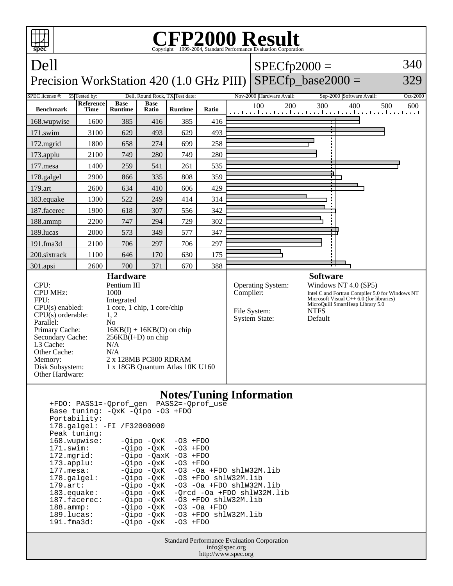

 171.swim: -Qipo -QxK -O3 +FDO 172.mgrid: -Qipo -QaxK -O3 +FDO<br>173.applu: -Qipo -QxK -O3 +FDO 173.applu: -Qipo -QxK<br>177.mesa: - -Qipo -QxK  $-Qipo -QxK -O3 -Oa +FDO shlW32M.lib$ 178.galgel: - Qipo - QxK - 03 + FDO shlW32M.lib 179.art: -Qipo -QxK -O3 -Oa +FDO shlW32M.lib<br>183.equake: -Qipo -QxK -Qrcd -Oa +FDO shlW32M.l 183.equake: -Qipo -QxK -Qrcd -Oa +FDO shlW32M.lib<br>187.facerec: -Qipo -QxK -O3 +FDO shlW32M.lib  $-03$  +FDO shlW32M.lib 188.ammp: -Qipo -QxK -O3 -Oa +FDO 189.lucas: -Qipo -QxK -O3 +FDO shlW32M.lib<br>191.fma3d: - -Oipo -OxK -O3 +FDO  $-Qipo -QxK$ 

> Standard Performance Evaluation Corporation info@spec.org http://www.spec.org